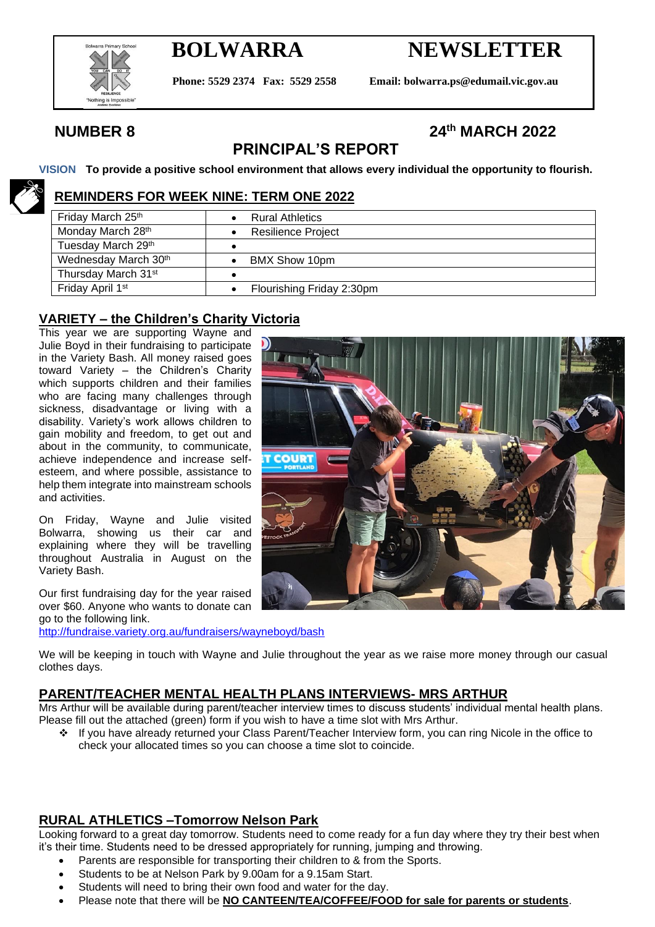

# **BOLWARRA NEWSLETTER**

**Phone: 5529 2374 Fax: 5529 2558 Email: bolwarra.ps@edumail.vic.gov.au**

## **NUMBER 8 24th MARCH 2022**

## **PRINCIPAL'S REPORT**

**VISION To provide a positive school environment that allows every individual the opportunity to flourish.**

#### **REMINDERS FOR WEEK NINE: TERM ONE 2022**

| Friday March 25th               | <b>Rural Athletics</b>    |
|---------------------------------|---------------------------|
| Monday March 28th               | <b>Resilience Project</b> |
| Tuesday March 29th              |                           |
| Wednesday March 30th            | BMX Show 10pm             |
| Thursday March 31 <sup>st</sup> |                           |
| Friday April 1 <sup>st</sup>    | Flourishing Friday 2:30pm |

#### **VARIETY – the Children's Charity Victoria**

This year we are supporting Wayne and Julie Boyd in their fundraising to participate in the Variety Bash. All money raised goes toward Variety – the Children's Charity which supports children and their families who are facing many challenges through sickness, disadvantage or living with a disability. Variety's work allows children to gain mobility and freedom, to get out and about in the community, to communicate, achieve independence and increase selfesteem, and where possible, assistance to help them integrate into mainstream schools and activities.

On Friday, Wayne and Julie visited Bolwarra, showing us their car and explaining where they will be travelling throughout Australia in August on the Variety Bash.

Our first fundraising day for the year raised over \$60. Anyone who wants to donate can go to the following link.

<http://fundraise.variety.org.au/fundraisers/wayneboyd/bash>



#### **PARENT/TEACHER MENTAL HEALTH PLANS INTERVIEWS- MRS ARTHUR**

Mrs Arthur will be available during parent/teacher interview times to discuss students' individual mental health plans. Please fill out the attached (green) form if you wish to have a time slot with Mrs Arthur.

❖ If you have already returned your Class Parent/Teacher Interview form, you can ring Nicole in the office to check your allocated times so you can choose a time slot to coincide.

#### **RURAL ATHLETICS –Tomorrow Nelson Park**

Looking forward to a great day tomorrow. Students need to come ready for a fun day where they try their best when it's their time. Students need to be dressed appropriately for running, jumping and throwing.

- Parents are responsible for transporting their children to & from the Sports.
- Students to be at Nelson Park by 9.00am for a 9.15am Start.
- Students will need to bring their own food and water for the day.
- Please note that there will be **NO CANTEEN/TEA/COFFEE/FOOD for sale for parents or students**.

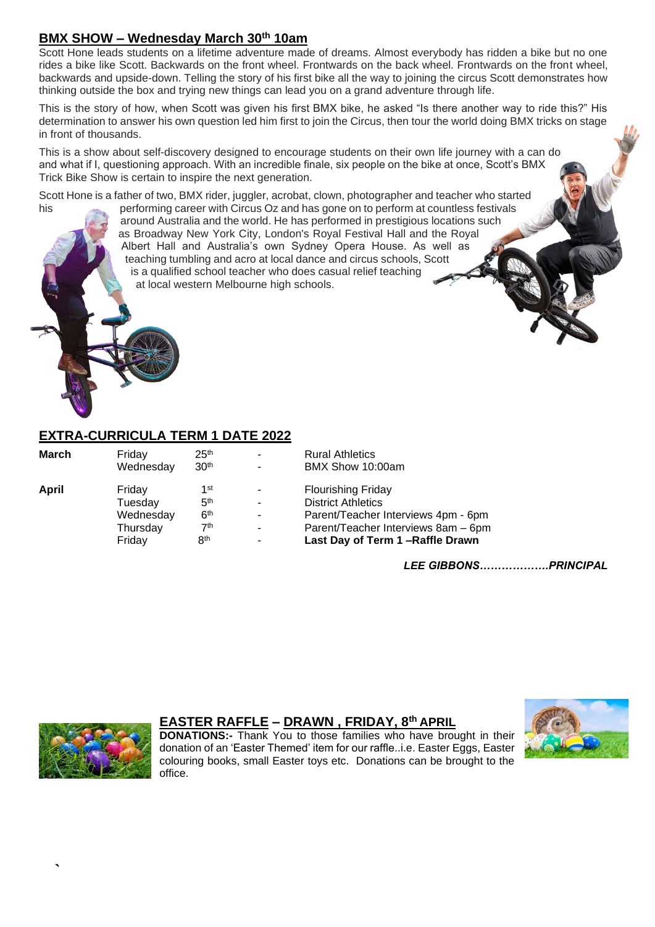### **BMX SHOW – Wednesday March 30th 10am**

Scott Hone leads students on a lifetime adventure made of dreams. Almost everybody has ridden a bike but no one rides a bike like Scott. Backwards on the front wheel. Frontwards on the back wheel. Frontwards on the front wheel, backwards and upside-down. Telling the story of his first bike all the way to joining the circus Scott demonstrates how thinking outside the box and trying new things can lead you on a grand adventure through life.

This is the story of how, when Scott was given his first BMX bike, he asked "Is there another way to ride this?" His determination to answer his own question led him first to join the Circus, then tour the world doing BMX tricks on stage in front of thousands.

This is a show about self-discovery designed to encourage students on their own life journey with a can do and what if I, questioning approach. With an incredible finale, six people on the bike at once, Scott's BMX Trick Bike Show is certain to inspire the next generation.

Scott Hone is a father of two, BMX rider, juggler, acrobat, clown, photographer and teacher who started

his performing career with Circus Oz and has gone on to perform at countless festivals around Australia and the world. He has performed in prestigious locations such as Broadway New York City, London's Royal Festival Hall and the Royal Albert Hall and Australia's own Sydney Opera House. As well as teaching tumbling and acro at local dance and circus schools, Scott is a qualified school teacher who does casual relief teaching at local western Melbourne high schools.

#### **EXTRA-CURRICULA TERM 1 DATE 2022**

| March | Friday    | 25 <sup>th</sup> | $\blacksquare$           | <b>Rural Athletics</b>              |
|-------|-----------|------------------|--------------------------|-------------------------------------|
|       | Wednesday | 30 <sup>th</sup> | $\blacksquare$           | BMX Show 10:00am                    |
| April | Friday    | 1st              | $\overline{\phantom{0}}$ | <b>Flourishing Friday</b>           |
|       | Tuesday   | 5 <sup>th</sup>  | $\blacksquare$           | <b>District Athletics</b>           |
|       | Wednesday | 6 <sup>th</sup>  | ٠                        | Parent/Teacher Interviews 4pm - 6pm |
|       | Thursday  | 7 <sup>th</sup>  | $\blacksquare$           | Parent/Teacher Interviews 8am - 6pm |
|       | Friday    | 8 <sup>th</sup>  | ٠                        | Last Day of Term 1-Raffle Drawn     |
|       |           |                  |                          |                                     |

*LEE GIBBONS……………….PRINCIPAL*



**`**

#### **EASTER RAFFLE – DRAWN , FRIDAY, 8th APRIL**

**DONATIONS:-** Thank You to those families who have brought in their donation of an 'Easter Themed' item for our raffle..i.e. Easter Eggs, Easter colouring books, small Easter toys etc. Donations can be brought to the office.

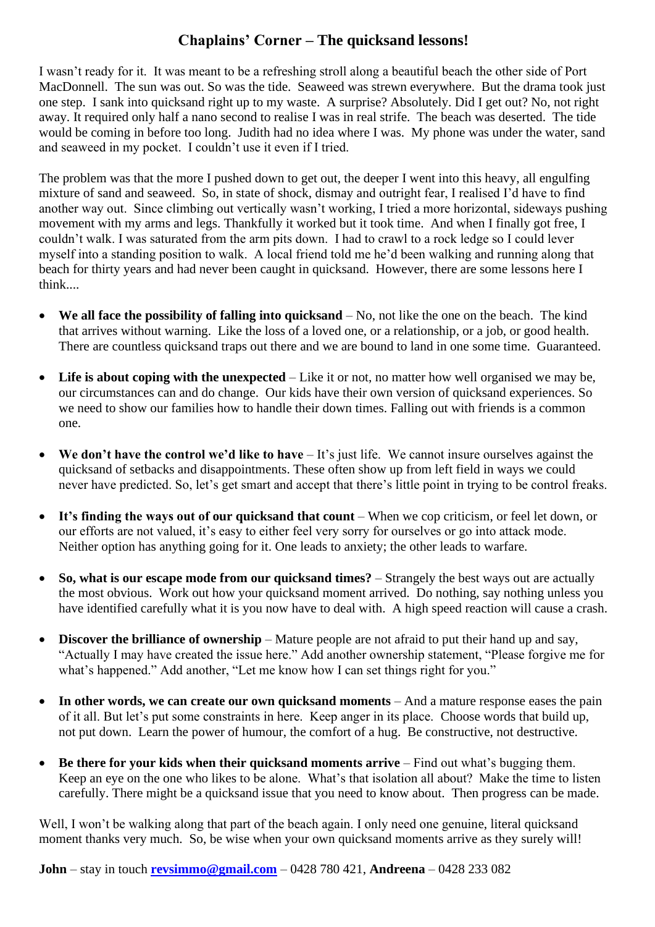## **Chaplains' Corner – The quicksand lessons!**

I wasn't ready for it. It was meant to be a refreshing stroll along a beautiful beach the other side of Port MacDonnell. The sun was out. So was the tide. Seaweed was strewn everywhere. But the drama took just one step. I sank into quicksand right up to my waste. A surprise? Absolutely. Did I get out? No, not right away. It required only half a nano second to realise I was in real strife. The beach was deserted. The tide would be coming in before too long. Judith had no idea where I was. My phone was under the water, sand and seaweed in my pocket. I couldn't use it even if I tried.

The problem was that the more I pushed down to get out, the deeper I went into this heavy, all engulfing mixture of sand and seaweed. So, in state of shock, dismay and outright fear, I realised I'd have to find another way out. Since climbing out vertically wasn't working, I tried a more horizontal, sideways pushing movement with my arms and legs. Thankfully it worked but it took time. And when I finally got free, I couldn't walk. I was saturated from the arm pits down. I had to crawl to a rock ledge so I could lever myself into a standing position to walk. A local friend told me he'd been walking and running along that beach for thirty years and had never been caught in quicksand. However, there are some lessons here I think....

- We all face the possibility of falling into quicksand No, not like the one on the beach. The kind that arrives without warning. Like the loss of a loved one, or a relationship, or a job, or good health. There are countless quicksand traps out there and we are bound to land in one some time. Guaranteed.
- Life is about coping with the unexpected Like it or not, no matter how well organised we may be, our circumstances can and do change. Our kids have their own version of quicksand experiences. So we need to show our families how to handle their down times. Falling out with friends is a common one.
- We don't have the control we'd like to have It's just life. We cannot insure ourselves against the quicksand of setbacks and disappointments. These often show up from left field in ways we could never have predicted. So, let's get smart and accept that there's little point in trying to be control freaks.
- It's finding the ways out of our quicksand that count When we cop criticism, or feel let down, or our efforts are not valued, it's easy to either feel very sorry for ourselves or go into attack mode. Neither option has anything going for it. One leads to anxiety; the other leads to warfare.
- So, what is our escape mode from our quicksand times? Strangely the best ways out are actually the most obvious. Work out how your quicksand moment arrived. Do nothing, say nothing unless you have identified carefully what it is you now have to deal with. A high speed reaction will cause a crash.
- **Discover the brilliance of ownership** Mature people are not afraid to put their hand up and say, "Actually I may have created the issue here." Add another ownership statement, "Please forgive me for what's happened." Add another, "Let me know how I can set things right for you."
- In other words, we can create our own quicksand moments And a mature response eases the pain of it all. But let's put some constraints in here. Keep anger in its place. Choose words that build up, not put down. Learn the power of humour, the comfort of a hug. Be constructive, not destructive.
- Be there for your kids when their quicksand moments arrive Find out what's bugging them. Keep an eye on the one who likes to be alone. What's that isolation all about? Make the time to listen carefully. There might be a quicksand issue that you need to know about. Then progress can be made.

Well, I won't be walking along that part of the beach again. I only need one genuine, literal quicksand moment thanks very much. So, be wise when your own quicksand moments arrive as they surely will!

**John** – stay in touch **[revsimmo@gmail.com](mailto:revsimmo@gmail.com)** – 0428 780 421, **Andreena** – 0428 233 082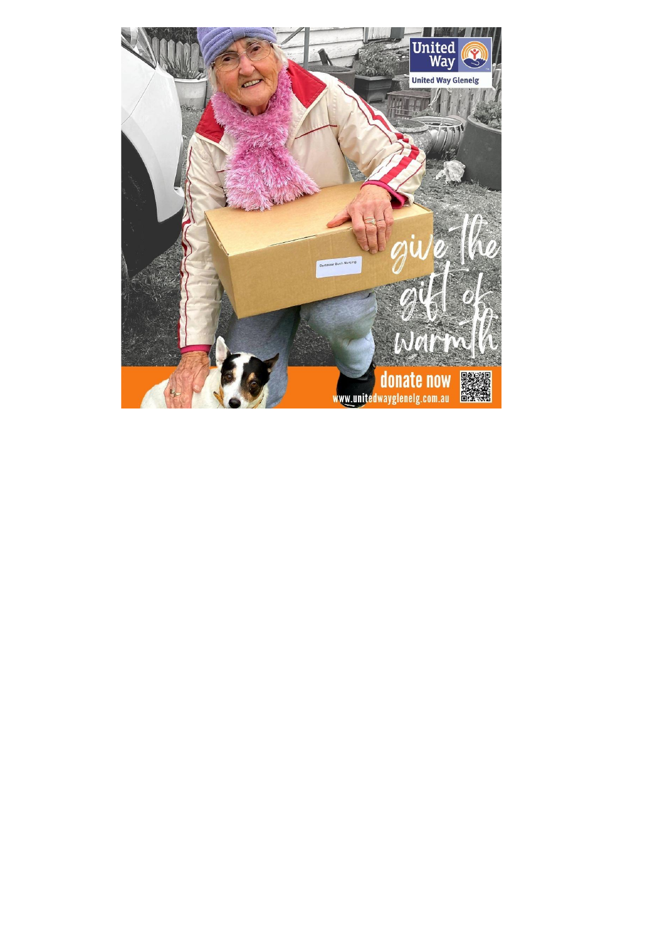